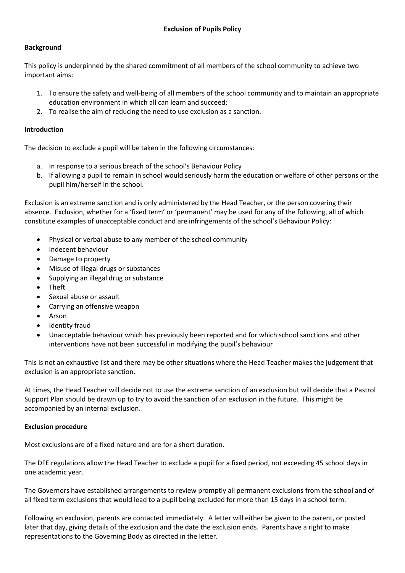### **Background**

This policy is underpinned by the shared commitment of all members of the school community to achieve two important aims:

- 1. To ensure the safety and well-being of all members of the school community and to maintain an appropriate education environment in which all can learn and succeed;
- 2. To realise the aim of reducing the need to use exclusion as a sanction.

### **Introduction**

The decision to exclude a pupil will be taken in the following circumstances:

- a. In response to a serious breach of the school's Behaviour Policy
- b. If allowing a pupil to remain in school would seriously harm the education or welfare of other persons or the pupil him/herself in the school.

Exclusion is an extreme sanction and is only administered by the Head Teacher, or the person covering their absence. Exclusion, whether for a 'fixed term' or 'permanent' may be used for any of the following, all of which constitute examples of unacceptable conduct and are infringements of the school's Behaviour Policy:

- Physical or verbal abuse to any member of the school community
- Indecent behaviour
- Damage to property
- Misuse of illegal drugs or substances
- Supplying an illegal drug or substance
- Theft
- Sexual abuse or assault
- Carrying an offensive weapon
- **Arson**
- Identity fraud
- Unacceptable behaviour which has previously been reported and for which school sanctions and other interventions have not been successful in modifying the pupil's behaviour

This is not an exhaustive list and there may be other situations where the Head Teacher makes the judgement that exclusion is an appropriate sanction.

At times, the Head Teacher will decide not to use the extreme sanction of an exclusion but will decide that a Pastrol Support Plan should be drawn up to try to avoid the sanction of an exclusion in the future. This might be accompanied by an internal exclusion.

### **Exclusion procedure**

Most exclusions are of a fixed nature and are for a short duration.

The DFE regulations allow the Head Teacher to exclude a pupil for a fixed period, not exceeding 45 school days in one academic year.

The Governors have established arrangements to review promptly all permanent exclusions from the school and of all fixed term exclusions that would lead to a pupil being excluded for more than 15 days in a school term.

Following an exclusion, parents are contacted immediately. A letter will either be given to the parent, or posted later that day, giving details of the exclusion and the date the exclusion ends. Parents have a right to make representations to the Governing Body as directed in the letter.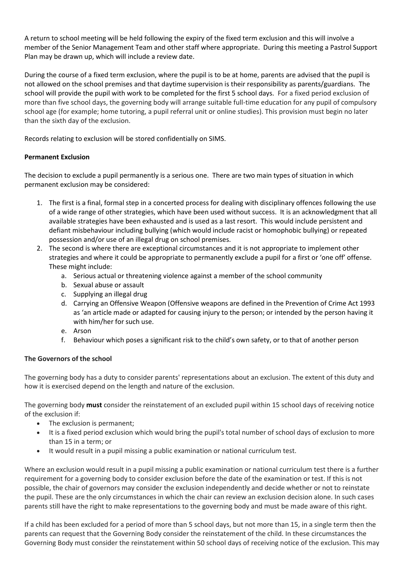A return to school meeting will be held following the expiry of the fixed term exclusion and this will involve a member of the Senior Management Team and other staff where appropriate. During this meeting a Pastrol Support Plan may be drawn up, which will include a review date.

During the course of a fixed term exclusion, where the pupil is to be at home, parents are advised that the pupil is not allowed on the school premises and that daytime supervision is their responsibility as parents/guardians. The school will provide the pupil with work to be completed for the first 5 school days. For a fixed period exclusion of more than five school days, the governing body will arrange suitable full-time education for any pupil of compulsory school age (for example; home tutoring, a pupil referral unit or online studies). This provision must begin no later than the sixth day of the exclusion.

Records relating to exclusion will be stored confidentially on SIMS.

## **Permanent Exclusion**

The decision to exclude a pupil permanently is a serious one. There are two main types of situation in which permanent exclusion may be considered:

- 1. The first is a final, formal step in a concerted process for dealing with disciplinary offences following the use of a wide range of other strategies, which have been used without success. It is an acknowledgment that all available strategies have been exhausted and is used as a last resort. This would include persistent and defiant misbehaviour including bullying (which would include racist or homophobic bullying) or repeated possession and/or use of an illegal drug on school premises.
- 2. The second is where there are exceptional circumstances and it is not appropriate to implement other strategies and where it could be appropriate to permanently exclude a pupil for a first or 'one off' offense. These might include:
	- a. Serious actual or threatening violence against a member of the school community
	- b. Sexual abuse or assault
	- c. Supplying an illegal drug
	- d. Carrying an Offensive Weapon (Offensive weapons are defined in the Prevention of Crime Act 1993 as 'an article made or adapted for causing injury to the person; or intended by the person having it with him/her for such use.
	- e. Arson
	- f. Behaviour which poses a significant risk to the child's own safety, or to that of another person

# **The Governors of the school**

The governing body has a duty to consider parents' representations about an exclusion. The extent of this duty and how it is exercised depend on the length and nature of the exclusion.

The governing body **must** consider the reinstatement of an excluded pupil within 15 school days of receiving notice of the exclusion if:

- The exclusion is permanent;
- It is a fixed period exclusion which would bring the pupil's total number of school days of exclusion to more than 15 in a term; or
- It would result in a pupil missing a public examination or national curriculum test.

Where an exclusion would result in a pupil missing a public examination or national curriculum test there is a further requirement for a governing body to consider exclusion before the date of the examination or test. If this is not possible, the chair of governors may consider the exclusion independently and decide whether or not to reinstate the pupil. These are the only circumstances in which the chair can review an exclusion decision alone. In such cases parents still have the right to make representations to the governing body and must be made aware of this right.

If a child has been excluded for a period of more than 5 school days, but not more than 15, in a single term then the parents can request that the Governing Body consider the reinstatement of the child. In these circumstances the Governing Body must consider the reinstatement within 50 school days of receiving notice of the exclusion. This may